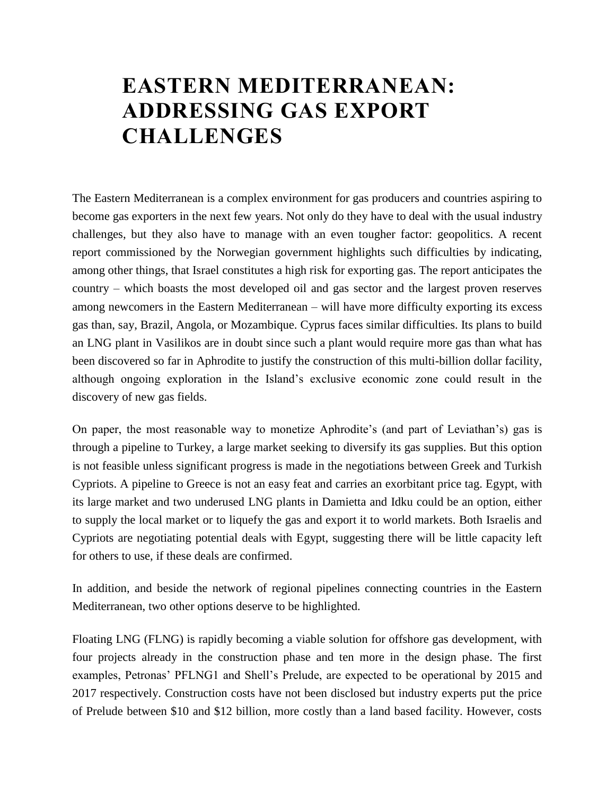## **EASTERN MEDITERRANEAN: ADDRESSING GAS EXPORT CHALLENGES**

The Eastern Mediterranean is a complex environment for gas producers and countries aspiring to become gas exporters in the next few years. Not only do they have to deal with the usual industry challenges, but they also have to manage with an even tougher factor: geopolitics. A recent report commissioned by the Norwegian government highlights such difficulties by indicating, among other things, that Israel constitutes a high risk for exporting gas. The report anticipates the country – which boasts the most developed oil and gas sector and the largest proven reserves among newcomers in the Eastern Mediterranean – will have more difficulty exporting its excess gas than, say, Brazil, Angola, or Mozambique. Cyprus faces similar difficulties. Its plans to build an LNG plant in Vasilikos are in doubt since such a plant would require more gas than what has been discovered so far in Aphrodite to justify the construction of this multi-billion dollar facility, although ongoing exploration in the Island's exclusive economic zone could result in the discovery of new gas fields.

On paper, the most reasonable way to monetize Aphrodite's (and part of Leviathan's) gas is through a pipeline to Turkey, a large market seeking to diversify its gas supplies. But this option is not feasible unless significant progress is made in the negotiations between Greek and Turkish Cypriots. A pipeline to Greece is not an easy feat and carries an exorbitant price tag. Egypt, with its large market and two underused LNG plants in Damietta and Idku could be an option, either to supply the local market or to liquefy the gas and export it to world markets. Both Israelis and Cypriots are negotiating potential deals with Egypt, suggesting there will be little capacity left for others to use, if these deals are confirmed.

In addition, and beside the network of regional pipelines connecting countries in the Eastern Mediterranean, two other options deserve to be highlighted.

Floating LNG (FLNG) is rapidly becoming a viable solution for offshore gas development, with four projects already in the construction phase and ten more in the design phase. The first examples, Petronas' PFLNG1 and Shell's Prelude, are expected to be operational by 2015 and 2017 respectively. Construction costs have not been disclosed but industry experts put the price of Prelude between \$10 and \$12 billion, more costly than a land based facility. However, costs